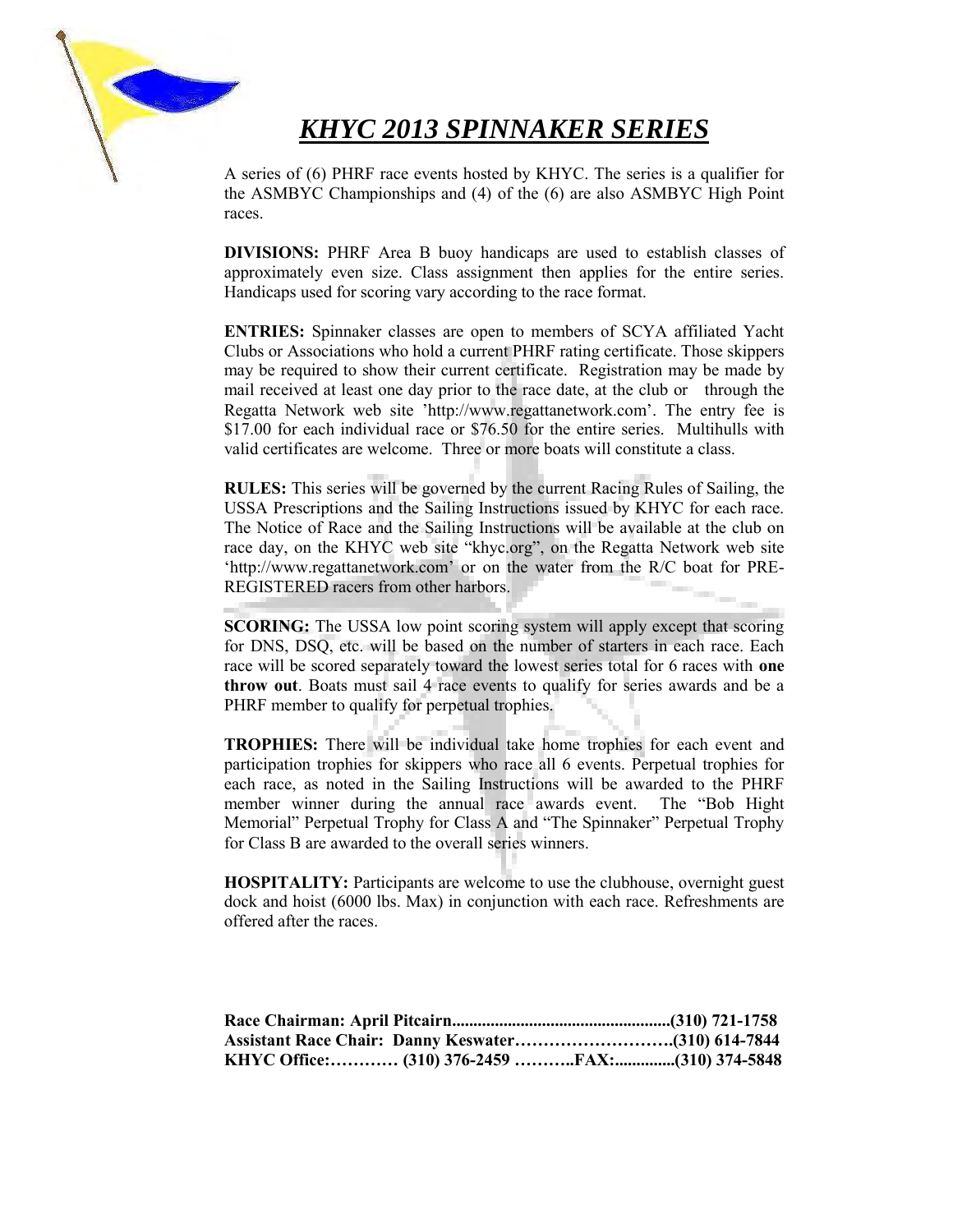## *KHYC 2013 SPINNAKER SERIES*

A series of (6) PHRF race events hosted by KHYC. The series is a qualifier for the ASMBYC Championships and (4) of the (6) are also ASMBYC High Point races.

**DIVISIONS:** PHRF Area B buoy handicaps are used to establish classes of approximately even size. Class assignment then applies for the entire series. Handicaps used for scoring vary according to the race format.

**ENTRIES:** Spinnaker classes are open to members of SCYA affiliated Yacht Clubs or Associations who hold a current PHRF rating certificate. Those skippers may be required to show their current certificate. Registration may be made by mail received at least one day prior to the race date, at the club or through the Regatta Network web site 'http://www.regattanetwork.com'. The entry fee is \$17.00 for each individual race or \$76.50 for the entire series. Multihulls with valid certificates are welcome. Three or more boats will constitute a class.

**RULES:** This series will be governed by the current Racing Rules of Sailing, the USSA Prescriptions and the Sailing Instructions issued by KHYC for each race. The Notice of Race and the Sailing Instructions will be available at the club on race day, on the KHYC web site "khyc.org", on the Regatta Network web site 'http://www.regattanetwork.com' or on the water from the R/C boat for PRE-REGISTERED racers from other harbors.

**SCORING:** The USSA low point scoring system will apply except that scoring for DNS, DSQ, etc. will be based on the number of starters in each race. Each race will be scored separately toward the lowest series total for 6 races with **one throw out**. Boats must sail 4 race events to qualify for series awards and be a PHRF member to qualify for perpetual trophies.

**TROPHIES:** There will be individual take home trophies for each event and participation trophies for skippers who race all 6 events. Perpetual trophies for each race, as noted in the Sailing Instructions will be awarded to the PHRF member winner during the annual race awards event. The "Bob Hight Memorial" Perpetual Trophy for Class A and "The Spinnaker" Perpetual Trophy for Class B are awarded to the overall series winners.

**HOSPITALITY:** Participants are welcome to use the clubhouse, overnight guest dock and hoist (6000 lbs. Max) in conjunction with each race. Refreshments are offered after the races.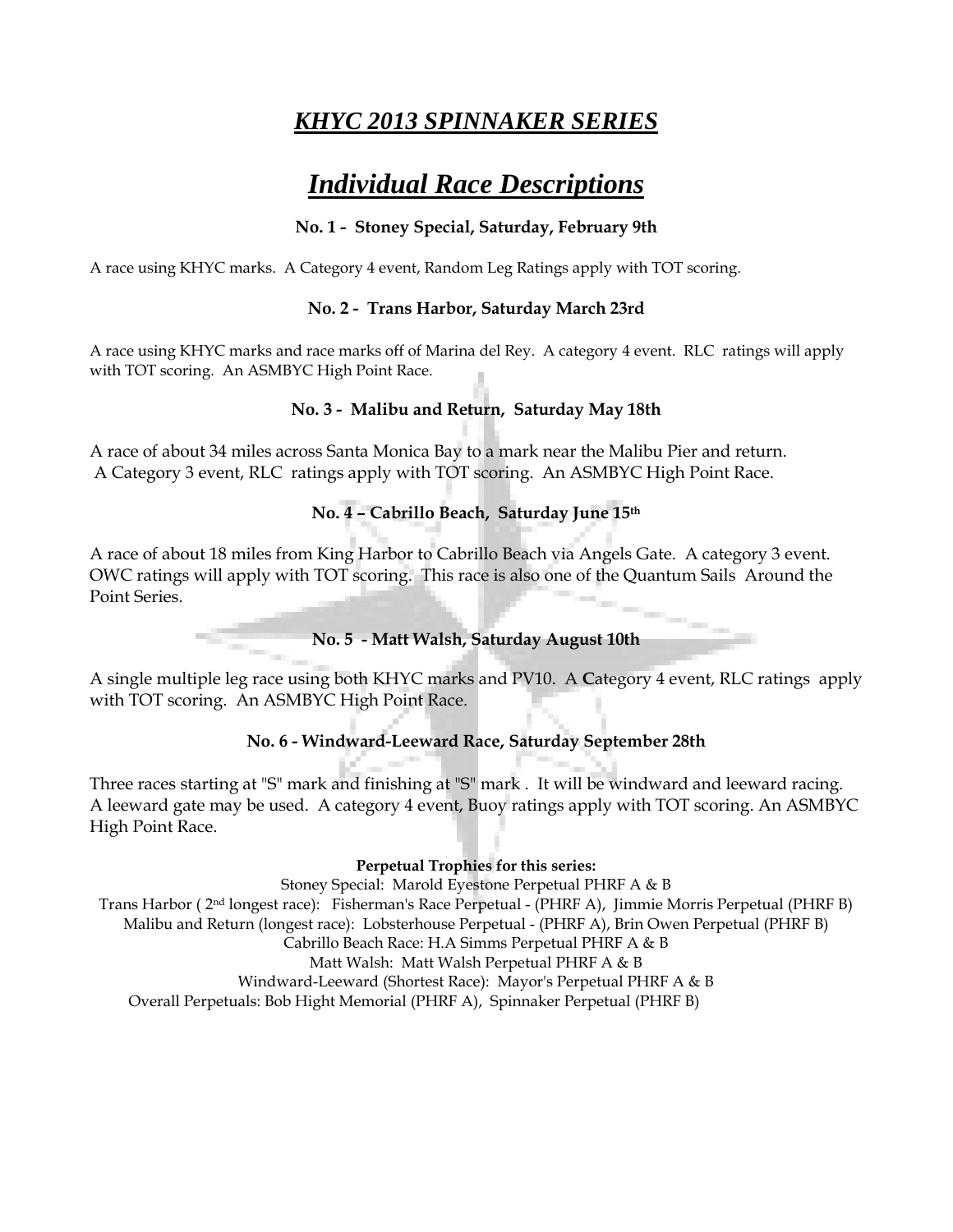### *KHYC 2013 SPINNAKER SERIES*

# *Individual Race Descriptions*

#### **No. 1 - Stoney Special, Saturday, February 9th**

A race using KHYC marks. A Category 4 event, Random Leg Ratings apply with TOT scoring.

#### **No. 2 - Trans Harbor, Saturday March 23rd**

A race using KHYC marks and race marks off of Marina del Rey. A category 4 event. RLC ratings will apply with TOT scoring. An ASMBYC High Point Race.

#### **No. 3 - Malibu and Return, Saturday May 18th**

A race of about 34 miles across Santa Monica Bay to a mark near the Malibu Pier and return. A Category 3 event, RLC ratings apply with TOT scoring. An ASMBYC High Point Race.

#### **No. 4 – Cabrillo Beach, Saturday June 15th**

A race of about 18 miles from King Harbor to Cabrillo Beach via Angels Gate. A category 3 event. OWC ratings will apply with TOT scoring. This race is also one of the Quantum Sails Around the Point Series.

**No. 5 - Matt Walsh, Saturday August 10th**

A single multiple leg race using both KHYC marks and PV10. A **C**ategory 4 event, RLC ratings apply with TOT scoring. An ASMBYC High Point Race.

#### **No. 6 - Windward-Leeward Race, Saturday September 28th**

Three races starting at "S" mark and finishing at "S" mark . It will be windward and leeward racing. A leeward gate may be used. A category 4 event, Buoy ratings apply with TOT scoring. An ASMBYC High Point Race.

#### **Perpetual Trophies for this series:**

Stoney Special: Marold Eyestone Perpetual PHRF A & B Trans Harbor ( 2nd longest race): Fisherman's Race Perpetual - (PHRF A), Jimmie Morris Perpetual (PHRF B) Malibu and Return (longest race): Lobsterhouse Perpetual - (PHRF A), Brin Owen Perpetual (PHRF B) Cabrillo Beach Race: H.A Simms Perpetual PHRF A & B Matt Walsh: Matt Walsh Perpetual PHRF A & B Windward-Leeward (Shortest Race): Mayor's Perpetual PHRF A & B Overall Perpetuals: Bob Hight Memorial (PHRF A), Spinnaker Perpetual (PHRF B)